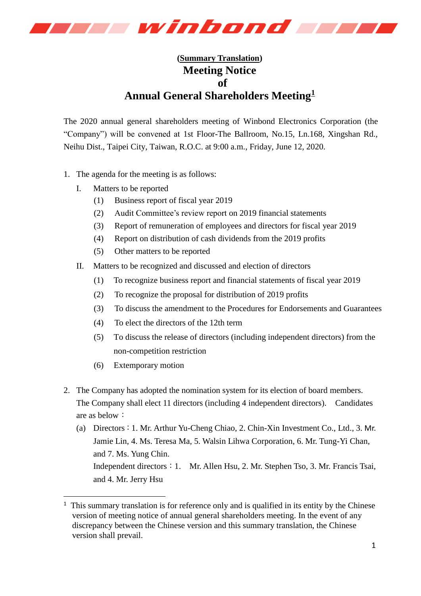

## **(Summary Translation) Meeting Notice of Annual General Shareholders Meeting<sup>1</sup>**

The 2020 annual general shareholders meeting of Winbond Electronics Corporation (the "Company") will be convened at 1st Floor-The Ballroom, No.15, Ln.168, Xingshan Rd., Neihu Dist., Taipei City, Taiwan, R.O.C. at 9:00 a.m., Friday, June 12, 2020.

- 1. The agenda for the meeting is as follows:
	- I. Matters to be reported
		- (1) Business report of fiscal year 2019
		- (2) Audit Committee's review report on 2019 financial statements
		- (3) Report of remuneration of employees and directors for fiscal year 2019
		- (4) Report on distribution of cash dividends from the 2019 profits
		- (5) Other matters to be reported
	- II. Matters to be recognized and discussed and election of directors
		- (1) To recognize business report and financial statements of fiscal year 2019
		- (2) To recognize the proposal for distribution of 2019 profits
		- (3) To discuss the amendment to the Procedures for Endorsements and Guarantees
		- (4) To elect the directors of the 12th term
		- (5) To discuss the release of directors (including independent directors) from the non-competition restriction
		- (6) Extemporary motion

-

- 2. The Company has adopted the nomination system for its election of board members. The Company shall elect 11 directors (including 4 independent directors). Candidates are as below:
	- (a) Directors:1. Mr. Arthur Yu-Cheng Chiao, 2. Chin-Xin Investment Co., Ltd., 3. Mr. Jamie Lin, 4. Ms. Teresa Ma, 5. Walsin Lihwa Corporation, 6. Mr. Tung-Yi Chan, and 7. Ms. Yung Chin. Independent directors: 1. Mr. Allen Hsu, 2. Mr. Stephen Tso, 3. Mr. Francis Tsai, and 4. Mr. Jerry Hsu

 $<sup>1</sup>$  This summary translation is for reference only and is qualified in its entity by the Chinese</sup> version of meeting notice of annual general shareholders meeting. In the event of any discrepancy between the Chinese version and this summary translation, the Chinese version shall prevail.